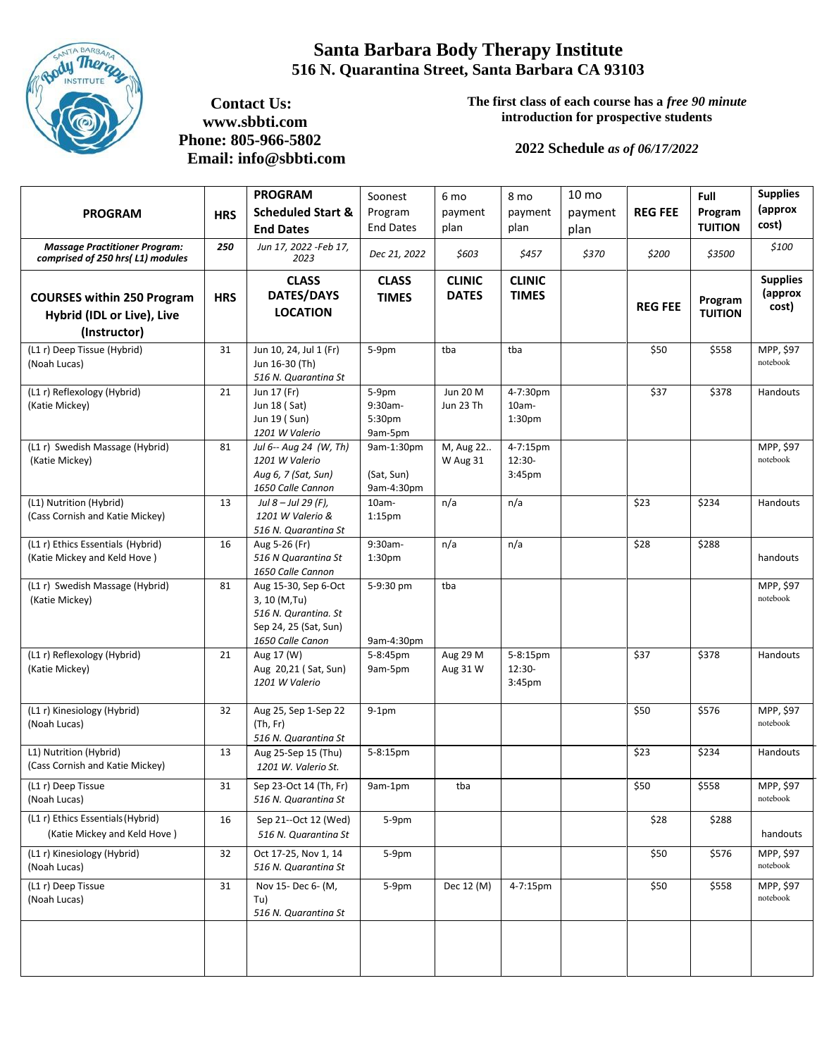

## **Santa Barbara Body Therapy Institute 516 N. Quarantina Street, Santa Barbara CA 93103**

 **Contact Us: www.sbbti.com Phone: 805-966-5802 Email: [info@sbbti.com](mailto:info@sbbti.com)** **The first class of each course has a** *free 90 minute* **introduction for prospective students**

## **2022 Schedule** *as of 06/17/2022*

|            | <b>PROGRAM</b>                                                                         |                                            | 6 <sub>mo</sub>               | 8 <sub>mo</sub>                            | 10 <sub>mo</sub> |                | Full                      | <b>Supplies</b>                     |
|------------|----------------------------------------------------------------------------------------|--------------------------------------------|-------------------------------|--------------------------------------------|------------------|----------------|---------------------------|-------------------------------------|
|            | <b>Scheduled Start &amp;</b>                                                           | Program                                    | payment                       | payment                                    | payment          | <b>REG FEE</b> | Program                   | (approx                             |
|            | <b>End Dates</b>                                                                       | <b>End Dates</b>                           | plan                          | plan                                       | plan             |                | <b>TUITION</b>            | cost)                               |
| 250        | Jun 17, 2022 -Feb 17,<br>2023                                                          | Dec 21, 2022                               | \$603                         | \$457                                      | \$370            | \$200          | \$3500                    | \$100                               |
| <b>HRS</b> | <b>CLASS</b><br><b>DATES/DAYS</b><br><b>LOCATION</b>                                   | <b>CLASS</b><br><b>TIMES</b>               | <b>CLINIC</b><br><b>DATES</b> | <b>CLINIC</b><br><b>TIMES</b>              |                  | <b>REG FEE</b> | Program<br><b>TUITION</b> | <b>Supplies</b><br>(approx<br>cost) |
|            |                                                                                        |                                            |                               |                                            |                  |                |                           |                                     |
|            | Jun 16-30 (Th)<br>516 N. Quarantina St                                                 |                                            |                               |                                            |                  |                |                           | MPP, \$97<br>notebook               |
| 21         | Jun 17 (Fr)<br>Jun 18 (Sat)<br>Jun 19 (Sun)<br>1201 W Valerio                          | 5-9pm<br>9:30am-<br>5:30pm<br>9am-5pm      | Jun 20 M<br>Jun 23 Th         | 4-7:30pm<br>$10am -$<br>1:30 <sub>pm</sub> |                  | \$37           | \$378                     | Handouts                            |
| 81         | Jul 6-- Aug 24 (W, Th)<br>1201 W Valerio<br>Aug 6, 7 (Sat, Sun)<br>1650 Calle Cannon   | 9am-1:30pm<br>(Sat, Sun)<br>9am-4:30pm     | M, Aug 22<br>W Aug 31         | 4-7:15pm<br>12:30-<br>3:45 <sub>pm</sub>   |                  |                |                           | MPP, \$97<br>notebook               |
| 13         | Jul 8-Jul 29 (F),<br>1201 W Valerio &<br>516 N. Quarantina St                          | $10am -$<br>$1:15$ pm                      | n/a                           | n/a                                        |                  | \$23           | \$234                     | Handouts                            |
| 16         | Aug 5-26 (Fr)<br>516 N Quarantina St<br>1650 Calle Cannon                              | 9:30am-<br>1:30 <sub>pm</sub>              | n/a                           | n/a                                        |                  | \$28           | \$288                     | handouts                            |
| 81         | Aug 15-30, Sep 6-Oct<br>3, 10 (M, Tu)<br>516 N. Qurantina. St<br>Sep 24, 25 (Sat, Sun) | 5-9:30 pm<br>9am-4:30pm                    | tba                           |                                            |                  |                |                           | MPP, \$97<br>notebook               |
| 21         | Aug 17 (W)<br>Aug 20,21 (Sat, Sun)<br>1201 W Valerio                                   | 5-8:45pm<br>9am-5pm                        | Aug 29 M<br>Aug 31 W          | 5-8:15pm<br>12:30-<br>3:45pm               |                  | \$37           | \$378                     | Handouts                            |
| 32         | Aug 25, Sep 1-Sep 22<br>(Th, Fr)<br>516 N. Quarantina St                               | $9-1pm$                                    |                               |                                            |                  | \$50           | \$576                     | MPP, \$97<br>notebook               |
| 13         | Aug 25-Sep 15 (Thu)<br>1201 W. Valerio St.                                             | 5-8:15pm                                   |                               |                                            |                  | \$23           | \$234                     | Handouts                            |
| 31         | Sep 23-Oct 14 (Th, Fr)<br>516 N. Quarantina St                                         | 9am-1pm                                    | tba                           |                                            |                  | \$50           | \$558                     | MPP, \$97<br>notebook               |
| 16         | Sep 21--Oct 12 (Wed)<br>516 N. Quarantina St                                           | 5-9pm                                      |                               |                                            |                  | \$28           | \$288                     | handouts                            |
| 32         | Oct 17-25, Nov 1, 14<br>516 N. Quarantina St                                           | 5-9pm                                      |                               |                                            |                  | \$50           | \$576                     | MPP, \$97<br>notebook               |
| 31         | Nov 15- Dec 6- (M,<br>Tu)<br>516 N. Quarantina St                                      | 5-9pm                                      | Dec 12 (M)                    | 4-7:15pm                                   |                  | \$50           | \$558                     | MPP, \$97<br>notebook               |
|            | <b>HRS</b><br>31                                                                       | Jun 10, 24, Jul 1 (Fr)<br>1650 Calle Canon | Soonest<br>5-9pm              | tba                                        | tba              |                | \$50                      | \$558                               |